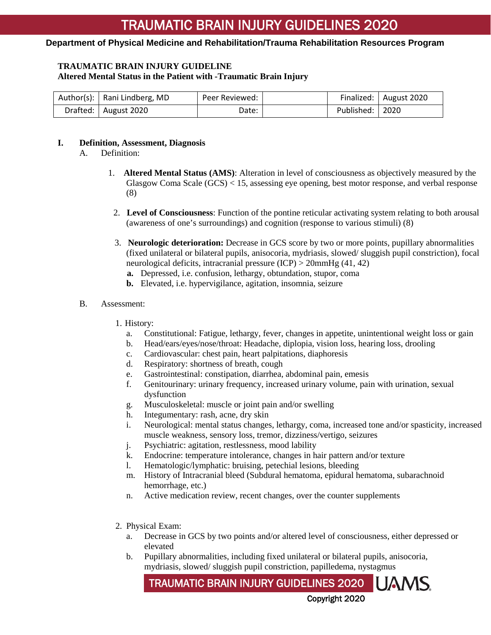#### **TRAUMATIC BRAIN INJURY GUIDELINE Altered Mental Status in the Patient with -Traumatic Brain Injury**

| Author(s):   Rani Lindberg, MD | Peer Reviewed: |                   | Finalized:   August 2020 |
|--------------------------------|----------------|-------------------|--------------------------|
| Drafted:   August 2020         | Date:          | Published:   2020 |                          |

#### **I. Definition, Assessment, Diagnosis**

- A. Definition:
	- 1. **Altered Mental Status (AMS)**: Alteration in level of consciousness as objectively measured by the Glasgow Coma Scale (GCS) < 15, assessing eye opening, best motor response, and verbal response (8)
	- 2. **Level of Consciousness**: Function of the pontine reticular activating system relating to both arousal (awareness of one's surroundings) and cognition (response to various stimuli) (8)
	- 3. **Neurologic deterioration:** Decrease in GCS score by two or more points, pupillary abnormalities (fixed unilateral or bilateral pupils, anisocoria, mydriasis, slowed/ sluggish pupil constriction), focal neurological deficits, intracranial pressure (ICP) > 20mmHg (41, 42)
		- **a.** Depressed, i.e. confusion, lethargy, obtundation, stupor, coma
		- **b.** Elevated, i.e. hypervigilance, agitation, insomnia, seizure

#### B. Assessment:

- 1. History:
	- a. Constitutional: Fatigue, lethargy, fever, changes in appetite, unintentional weight loss or gain
	- b. Head/ears/eyes/nose/throat: Headache, diplopia, vision loss, hearing loss, drooling
	- c. Cardiovascular: chest pain, heart palpitations, diaphoresis
	- d. Respiratory: shortness of breath, cough
	- e. Gastrointestinal: constipation, diarrhea, abdominal pain, emesis
	- f. Genitourinary: urinary frequency, increased urinary volume, pain with urination, sexual dysfunction
	- g. Musculoskeletal: muscle or joint pain and/or swelling
	- h. Integumentary: rash, acne, dry skin
	- i. Neurological: mental status changes, lethargy, coma, increased tone and/or spasticity, increased muscle weakness, sensory loss, tremor, dizziness/vertigo, seizures
	- j. Psychiatric: agitation, restlessness, mood lability
	- k. Endocrine: temperature intolerance, changes in hair pattern and/or texture
	- l. Hematologic/lymphatic: bruising, petechial lesions, bleeding
	- m. History of Intracranial bleed (Subdural hematoma, epidural hematoma, subarachnoid hemorrhage, etc.)
	- n. Active medication review, recent changes, over the counter supplements
- 2. Physical Exam:
	- a. Decrease in GCS by two points and/or altered level of consciousness, either depressed or elevated
	- b. Pupillary abnormalities, including fixed unilateral or bilateral pupils, anisocoria, mydriasis, slowed/ sluggish pupil constriction, papilledema, nystagmus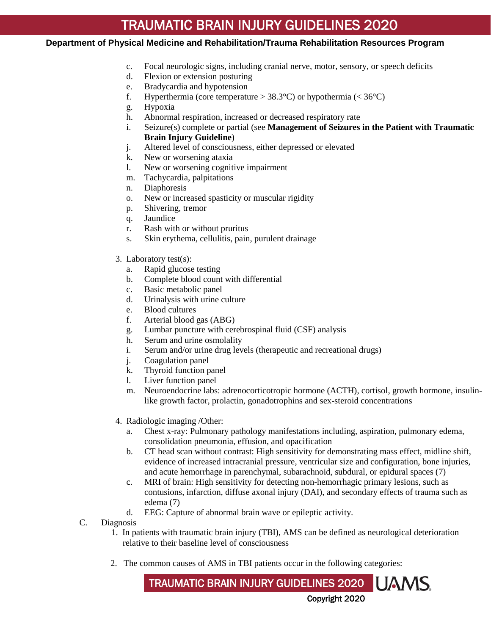#### **Department of Physical Medicine and Rehabilitation/Trauma Rehabilitation Resources Program**

- c. Focal neurologic signs, including cranial nerve, motor, sensory, or speech deficits
- d. Flexion or extension posturing
- e. Bradycardia and hypotension
- f. Hyperthermia (core temperature  $> 38.3$ °C) or hypothermia (< 36°C)
- g. Hypoxia
- h. Abnormal respiration, increased or decreased respiratory rate
- i. Seizure(s) complete or partial (see **Management of Seizures in the Patient with Traumatic Brain Injury Guideline**)
- j. Altered level of consciousness, either depressed or elevated
- k. New or worsening ataxia
- l. New or worsening cognitive impairment
- m. Tachycardia, palpitations
- n. Diaphoresis
- o. New or increased spasticity or muscular rigidity
- p. Shivering, tremor
- q. Jaundice
- r. Rash with or without pruritus
- s. Skin erythema, cellulitis, pain, purulent drainage
- 3. Laboratory test(s):
	- a. Rapid glucose testing
	- b. Complete blood count with differential
	- c. Basic metabolic panel
	- d. Urinalysis with urine culture
	- e. Blood cultures
	- f. Arterial blood gas (ABG)
	- g. Lumbar puncture with cerebrospinal fluid (CSF) analysis
	- h. Serum and urine osmolality
	- i. Serum and/or urine drug levels (therapeutic and recreational drugs)
	- j. Coagulation panel
	- k. Thyroid function panel
	- l. Liver function panel
	- m. Neuroendocrine labs: adrenocorticotropic hormone (ACTH), cortisol, growth hormone, insulinlike growth factor, prolactin, gonadotrophins and sex-steroid concentrations
- 4. Radiologic imaging /Other:
	- a. Chest x-ray: Pulmonary pathology manifestations including, aspiration, pulmonary edema, consolidation pneumonia, effusion, and opacification
	- b. CT head scan without contrast: High sensitivity for demonstrating mass effect, midline shift, evidence of increased intracranial pressure, ventricular size and configuration, bone injuries, and acute hemorrhage in parenchymal, subarachnoid, subdural, or epidural spaces (7)
	- c. MRI of brain: High sensitivity for detecting non-hemorrhagic primary lesions, such as contusions, infarction, diffuse axonal injury (DAI), and secondary effects of trauma such as edema (7)
	- d. EEG: Capture of abnormal brain wave or epileptic activity.
- C. Diagnosis
	- 1. In patients with traumatic brain injury (TBI), AMS can be defined as neurological deterioration relative to their baseline level of consciousness
	- 2. The common causes of AMS in TBI patients occur in the following categories: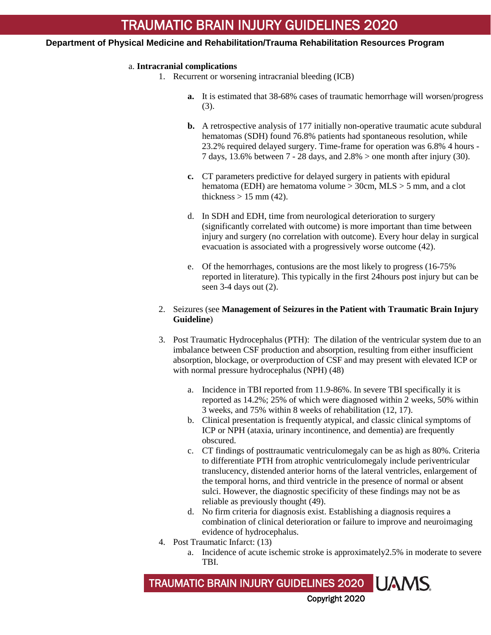#### a. **Intracranial complications**

- 1. Recurrent or worsening intracranial bleeding (ICB)
	- **a.** It is estimated that 38-68% cases of traumatic hemorrhage will worsen/progress (3).
	- **b.** A retrospective analysis of 177 initially non-operative traumatic acute subdural hematomas (SDH) found 76.8% patients had spontaneous resolution, while 23.2% required delayed surgery. Time-frame for operation was 6.8% 4 hours - 7 days, 13.6% between 7 - 28 days, and 2.8% > one month after injury (30).
	- **c.** CT parameters predictive for delayed surgery in patients with epidural hematoma (EDH) are hematoma volume > 30cm, MLS > 5 mm, and a clot thickness  $> 15$  mm (42).
	- d. In SDH and EDH, time from neurological deterioration to surgery (significantly correlated with outcome) is more important than time between injury and surgery (no correlation with outcome). Every hour delay in surgical evacuation is associated with a progressively worse outcome (42).
	- e. Of the hemorrhages, contusions are the most likely to progress (16-75% reported in literature). This typically in the first 24hours post injury but can be seen 3-4 days out (2).

### 2. Seizures (see **Management of Seizures in the Patient with Traumatic Brain Injury Guideline**)

- 3. Post Traumatic Hydrocephalus (PTH): The dilation of the ventricular system due to an imbalance between CSF production and absorption, resulting from either insufficient absorption, blockage, or overproduction of CSF and may present with elevated ICP or with normal pressure hydrocephalus (NPH) (48)
	- a. Incidence in TBI reported from 11.9-86%. In severe TBI specifically it is reported as 14.2%; 25% of which were diagnosed within 2 weeks, 50% within 3 weeks, and 75% within 8 weeks of rehabilitation (12, 17).
	- b. Clinical presentation is frequently atypical, and classic clinical symptoms of ICP or NPH (ataxia, urinary incontinence, and dementia) are frequently obscured.
	- c. CT findings of posttraumatic ventriculomegaly can be as high as 80%. Criteria to differentiate PTH from atrophic ventriculomegaly include periventricular translucency, distended anterior horns of the lateral ventricles, enlargement of the temporal horns, and third ventricle in the presence of normal or absent sulci. However, the diagnostic specificity of these findings may not be as reliable as previously thought (49).
	- d. No firm criteria for diagnosis exist. Establishing a diagnosis requires a combination of clinical deterioration or failure to improve and neuroimaging evidence of hydrocephalus.
- 4. Post Traumatic Infarct: (13)
	- a. Incidence of acute ischemic stroke is approximately2.5% in moderate to severe TBI.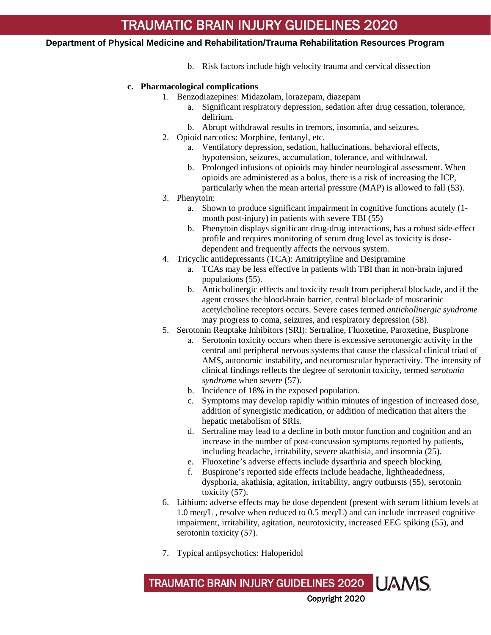b. Risk factors include high velocity trauma and cervical dissection

### **c. Pharmacological complications**

- 1. Benzodiazepines: Midazolam, lorazepam, diazepam
	- a. Significant respiratory depression, sedation after drug cessation, tolerance, delirium.
	- b. Abrupt withdrawal results in tremors, insomnia, and seizures.
- 2. Opioid narcotics: Morphine, fentanyl, etc.
	- a. Ventilatory depression, sedation, hallucinations, behavioral effects, hypotension, seizures, accumulation, tolerance, and withdrawal.
	- b. Prolonged infusions of opioids may hinder neurological assessment. When opioids are administered as a bolus, there is a risk of increasing the ICP, particularly when the mean arterial pressure (MAP) is allowed to fall (53).
- 3. Phenytoin:
	- a. Shown to produce significant impairment in cognitive functions acutely (1 month post-injury) in patients with severe TBI (55)
	- b. Phenytoin displays significant drug-drug interactions, has a robust side-effect profile and requires monitoring of serum drug level as toxicity is dosedependent and frequently affects the nervous system.
- 4. Tricyclic antidepressants (TCA): Amitriptyline and Desipramine
	- a. TCAs may be less effective in patients with TBI than in non-brain injured populations (55).
	- b. Anticholinergic effects and toxicity result from peripheral blockade, and if the agent crosses the blood-brain barrier, central blockade of muscarinic acetylcholine receptors occurs. Severe cases termed *anticholinergic syndrome* may progress to coma, seizures, and respiratory depression (58).
- 5. Serotonin Reuptake Inhibitors (SRI): Sertraline, Fluoxetine, Paroxetine, Buspirone
	- a. Serotonin toxicity occurs when there is excessive serotonergic activity in the central and peripheral nervous systems that cause the classical clinical triad of AMS, autonomic instability, and neuromuscular hyperactivity. The intensity of clinical findings reflects the degree of serotonin toxicity, termed *serotonin syndrome* when severe (57).
	- b. Incidence of 18% in the exposed population.
	- c. Symptoms may develop rapidly within minutes of ingestion of increased dose, addition of synergistic medication, or addition of medication that alters the hepatic metabolism of SRIs.
	- d. Sertraline may lead to a decline in both motor function and cognition and an increase in the number of post-concussion symptoms reported by patients, including headache, irritability, severe akathisia, and insomnia (25).
	- e. Fluoxetine's adverse effects include dysarthria and speech blocking.
	- f. Buspirone's reported side effects include headache, lightheadedness, dysphoria, akathisia, agitation, irritability, angry outbursts (55), serotonin toxicity (57).
- 6. Lithium: adverse effects may be dose dependent (present with serum lithium levels at 1.0 meq/L , resolve when reduced to 0.5 meq/L) and can include increased cognitive impairment, irritability, agitation, neurotoxicity, increased EEG spiking (55), and serotonin toxicity (57).
- 7. Typical antipsychotics: Haloperidol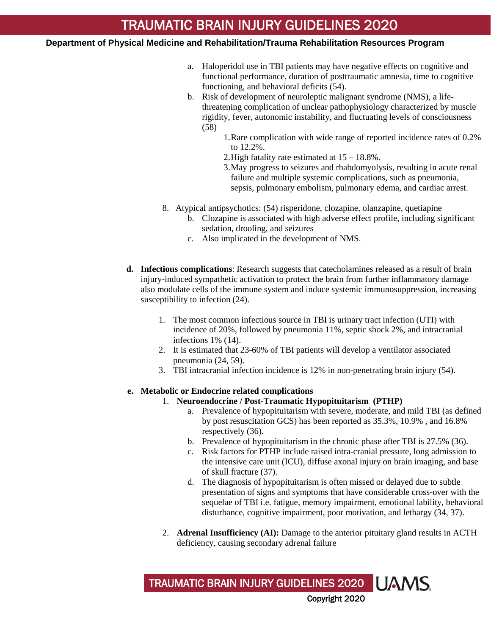- a. Haloperidol use in TBI patients may have negative effects on cognitive and functional performance, duration of posttraumatic amnesia, time to cognitive functioning, and behavioral deficits (54).
- b. Risk of development of neuroleptic malignant syndrome (NMS), a lifethreatening complication of unclear pathophysiology characterized by muscle rigidity, fever, autonomic instability, and fluctuating levels of consciousness (58)
	- 1.Rare complication with wide range of reported incidence rates of 0.2% to 12.2%.
	- 2.High fatality rate estimated at 15 18.8%.
	- 3.May progress to seizures and rhabdomyolysis, resulting in acute renal failure and multiple systemic complications, such as pneumonia, sepsis, pulmonary embolism, pulmonary edema, and cardiac arrest.
- 8. Atypical antipsychotics: (54) risperidone, clozapine, olanzapine, quetiapine
	- b. Clozapine is associated with high adverse effect profile, including significant sedation, drooling, and seizures
	- c. Also implicated in the development of NMS.
- **d. Infectious complications**: Research suggests that catecholamines released as a result of brain injury-induced sympathetic activation to protect the brain from further inflammatory damage also modulate cells of the immune system and induce systemic immunosuppression, increasing susceptibility to infection (24).
	- 1. The most common infectious source in TBI is urinary tract infection (UTI) with incidence of 20%, followed by pneumonia 11%, septic shock 2%, and intracranial infections 1% (14).
	- 2. It is estimated that 23-60% of TBI patients will develop a ventilator associated pneumonia (24, 59).
	- 3. TBI intracranial infection incidence is 12% in non-penetrating brain injury (54).

## **e. Metabolic or Endocrine related complications**

- 1. **Neuroendocrine / Post-Traumatic Hypopituitarism (PTHP)**
	- a. Prevalence of hypopituitarism with severe, moderate, and mild TBI (as defined by post resuscitation GCS) has been reported as 35.3%, 10.9% , and 16.8% respectively (36).
	- b. Prevalence of hypopituitarism in the chronic phase after TBI is 27.5% (36).
	- c. Risk factors for PTHP include raised intra-cranial pressure, long admission to the intensive care unit (ICU), diffuse axonal injury on brain imaging, and base of skull fracture (37).
	- d. The diagnosis of hypopituitarism is often missed or delayed due to subtle presentation of signs and symptoms that have considerable cross-over with the sequelae of TBI i.e. fatigue, memory impairment, emotional lability, behavioral disturbance, cognitive impairment, poor motivation, and lethargy (34, 37).
- 2. **Adrenal Insufficiency (AI):** Damage to the anterior pituitary gland results in ACTH deficiency, causing secondary adrenal failure

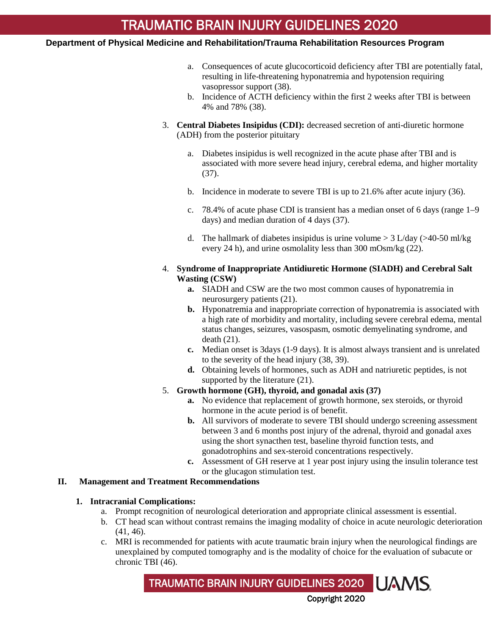- a. Consequences of acute glucocorticoid deficiency after TBI are potentially fatal, resulting in life-threatening hyponatremia and hypotension requiring vasopressor support (38).
- b. Incidence of ACTH deficiency within the first 2 weeks after TBI is between 4% and 78% (38).
- 3. **Central Diabetes Insipidus (CDI):** decreased secretion of anti-diuretic hormone (ADH) from the posterior pituitary
	- a. Diabetes insipidus is well recognized in the acute phase after TBI and is associated with more severe head injury, cerebral edema, and higher mortality (37).
	- b. Incidence in moderate to severe TBI is up to 21.6% after acute injury (36).
	- c. 78.4% of acute phase CDI is transient has a median onset of 6 days (range 1–9 days) and median duration of 4 days (37).
	- d. The hallmark of diabetes insipidus is urine volume  $> 3$  L/day ( $>40-50$  ml/kg every 24 h), and urine osmolality less than 300 mOsm/kg (22).

## 4. **Syndrome of Inappropriate Antidiuretic Hormone (SIADH) and Cerebral Salt Wasting (CSW)**

- **a.** SIADH and CSW are the two most common causes of hyponatremia in neurosurgery patients (21).
- **b.** Hyponatremia and inappropriate correction of hyponatremia is associated with a high rate of morbidity and mortality, including severe cerebral edema, mental status changes, seizures, vasospasm, osmotic demyelinating syndrome, and death (21).
- **c.** Median onset is 3days (1-9 days). It is almost always transient and is unrelated to the severity of the head injury (38, 39).
- **d.** Obtaining levels of hormones, such as ADH and natriuretic peptides, is not supported by the literature (21).
- 5. **Growth hormone (GH), thyroid, and gonadal axis (37)**
	- **a.** No evidence that replacement of growth hormone, sex steroids, or thyroid hormone in the acute period is of benefit.
	- **b.** All survivors of moderate to severe TBI should undergo screening assessment between 3 and 6 months post injury of the adrenal, thyroid and gonadal axes using the short synacthen test, baseline thyroid function tests, and gonadotrophins and sex-steroid concentrations respectively.
	- **c.** Assessment of GH reserve at 1 year post injury using the insulin tolerance test or the glucagon stimulation test.

## **II. Management and Treatment Recommendations**

#### **1. Intracranial Complications:**

- a. Prompt recognition of neurological deterioration and appropriate clinical assessment is essential.
- b. CT head scan without contrast remains the imaging modality of choice in acute neurologic deterioration (41, 46).
- c. MRI is recommended for patients with acute traumatic brain injury when the neurological findings are unexplained by computed tomography and is the modality of choice for the evaluation of subacute or chronic TBI (46).

TRAUMATIC BRAIN INJURY GUIDELINES 2020

Copyright 2020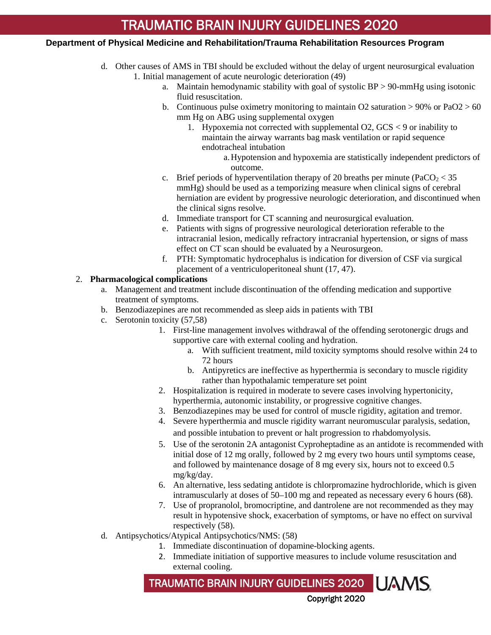#### **Department of Physical Medicine and Rehabilitation/Trauma Rehabilitation Resources Program**

- d. Other causes of AMS in TBI should be excluded without the delay of urgent neurosurgical evaluation 1. Initial management of acute neurologic deterioration (49)
	- a. Maintain hemodynamic stability with goal of systolic BP > 90-mmHg using isotonic fluid resuscitation.
	- b. Continuous pulse oximetry monitoring to maintain O2 saturation  $> 90\%$  or PaO2  $> 60$ mm Hg on ABG using supplemental oxygen
		- 1. Hypoxemia not corrected with supplemental O2, GCS < 9 or inability to maintain the airway warrants bag mask ventilation or rapid sequence endotracheal intubation
			- a.Hypotension and hypoxemia are statistically independent predictors of outcome.
	- c. Brief periods of hyperventilation therapy of 20 breaths per minute (PaCO<sub>2</sub>  $<$  35 mmHg) should be used as a temporizing measure when clinical signs of cerebral herniation are evident by progressive neurologic deterioration, and discontinued when the clinical signs resolve.
	- d. Immediate transport for CT scanning and neurosurgical evaluation.
	- e. Patients with signs of progressive neurological deterioration referable to the intracranial lesion, medically refractory intracranial hypertension, or signs of mass effect on CT scan should be evaluated by a Neurosurgeon.
	- f. PTH: Symptomatic hydrocephalus is indication for diversion of CSF via surgical placement of a ventriculoperitoneal shunt (17, 47).

### 2. **Pharmacological complications**

- a. Management and treatment include discontinuation of the offending medication and supportive treatment of symptoms.
- b. Benzodiazepines are not recommended as sleep aids in patients with TBI
- c. Serotonin toxicity (57,58)
	- 1. First-line management involves withdrawal of the offending serotonergic drugs and supportive care with external cooling and hydration.
		- a. With sufficient treatment, mild toxicity symptoms should resolve within 24 to 72 hours
		- b. Antipyretics are ineffective as hyperthermia is secondary to muscle rigidity rather than hypothalamic temperature set point
	- 2. Hospitalization is required in moderate to severe cases involving hypertonicity, hyperthermia, autonomic instability, or progressive cognitive changes.
	- 3. Benzodiazepines may be used for control of muscle rigidity, agitation and tremor.
	- 4. Severe hyperthermia and muscle rigidity warrant neuromuscular paralysis, sedation, and possible intubation to prevent or halt progression to rhabdomyolysis.
	- 5. Use of the serotonin 2A antagonist Cyproheptadine as an antidote is recommended with initial dose of 12 mg orally, followed by 2 mg every two hours until symptoms cease, and followed by maintenance dosage of 8 mg every six, hours not to exceed 0.5 mg/kg/day.
	- 6. An alternative, less sedating antidote is chlorpromazine hydrochloride, which is given intramuscularly at doses of 50–100 mg and repeated as necessary every 6 hours (68).
	- 7. Use of propranolol, bromocriptine, and dantrolene are not recommended as they may result in hypotensive shock, exacerbation of symptoms, or have no effect on survival respectively (58).
- d. Antipsychotics/Atypical Antipsychotics/NMS: (58)
	- 1. Immediate discontinuation of dopamine-blocking agents.
	- 2. Immediate initiation of supportive measures to include volume resuscitation and external cooling.

Copyright 2020

TRAUMATIC BRAIN INJURY GUIDELINES 2020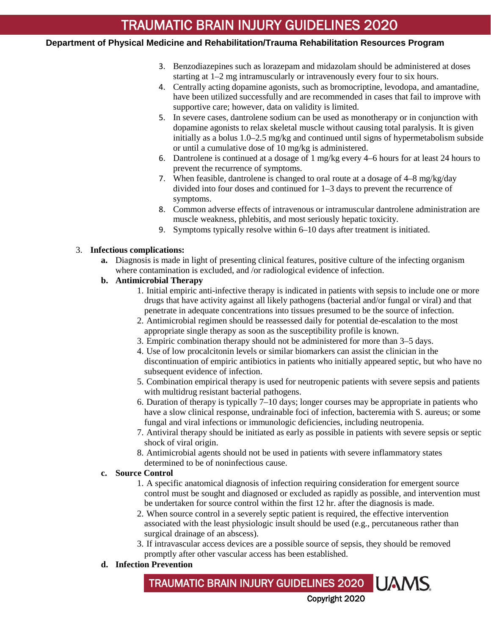## **Department of Physical Medicine and Rehabilitation/Trauma Rehabilitation Resources Program**

- 3. Benzodiazepines such as lorazepam and midazolam should be administered at doses starting at 1–2 mg intramuscularly or intravenously every four to six hours.
- 4. Centrally acting dopamine agonists, such as bromocriptine, levodopa, and amantadine, have been utilized successfully and are recommended in cases that fail to improve with supportive care; however, data on validity is limited.
- 5. In severe cases, dantrolene sodium can be used as monotherapy or in conjunction with dopamine agonists to relax skeletal muscle without causing total paralysis. It is given initially as a bolus 1.0–2.5 mg/kg and continued until signs of hypermetabolism subside or until a cumulative dose of 10 mg/kg is administered.
- 6. Dantrolene is continued at a dosage of 1 mg/kg every 4–6 hours for at least 24 hours to prevent the recurrence of symptoms.
- 7. When feasible, dantrolene is changed to oral route at a dosage of 4–8 mg/kg/day divided into four doses and continued for 1–3 days to prevent the recurrence of symptoms.
- 8. Common adverse effects of intravenous or intramuscular dantrolene administration are muscle weakness, phlebitis, and most seriously hepatic toxicity.
- 9. Symptoms typically resolve within 6–10 days after treatment is initiated.

#### 3. **Infectious complications:**

**a.** Diagnosis is made in light of presenting clinical features, positive culture of the infecting organism where contamination is excluded, and /or radiological evidence of infection.

### **b. Antimicrobial Therapy**

- 1. Initial empiric anti-infective therapy is indicated in patients with sepsis to include one or more drugs that have activity against all likely pathogens (bacterial and/or fungal or viral) and that penetrate in adequate concentrations into tissues presumed to be the source of infection.
- 2. Antimicrobial regimen should be reassessed daily for potential de-escalation to the most appropriate single therapy as soon as the susceptibility profile is known.
- 3. Empiric combination therapy should not be administered for more than 3–5 days.
- 4. Use of low procalcitonin levels or similar biomarkers can assist the clinician in the discontinuation of empiric antibiotics in patients who initially appeared septic, but who have no subsequent evidence of infection.
- 5. Combination empirical therapy is used for neutropenic patients with severe sepsis and patients with multidrug resistant bacterial pathogens.
- 6. Duration of therapy is typically 7–10 days; longer courses may be appropriate in patients who have a slow clinical response, undrainable foci of infection, bacteremia with S. aureus; or some fungal and viral infections or immunologic deficiencies, including neutropenia.
- 7. Antiviral therapy should be initiated as early as possible in patients with severe sepsis or septic shock of viral origin.
- 8. Antimicrobial agents should not be used in patients with severe inflammatory states determined to be of noninfectious cause.

#### **c. Source Control**

- 1. A specific anatomical diagnosis of infection requiring consideration for emergent source control must be sought and diagnosed or excluded as rapidly as possible, and intervention must be undertaken for source control within the first 12 hr. after the diagnosis is made.
- 2. When source control in a severely septic patient is required, the effective intervention associated with the least physiologic insult should be used (e.g., percutaneous rather than surgical drainage of an abscess).
- 3. If intravascular access devices are a possible source of sepsis, they should be removed promptly after other vascular access has been established.

## **d. Infection Prevention**

## TRAUMATIC BRAIN INJURY GUIDELINES 2020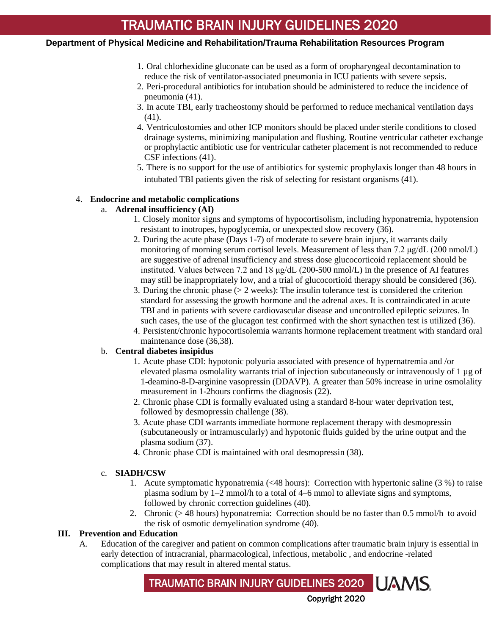## **Department of Physical Medicine and Rehabilitation/Trauma Rehabilitation Resources Program**

- 1. Oral chlorhexidine gluconate can be used as a form of oropharyngeal decontamination to reduce the risk of ventilator-associated pneumonia in ICU patients with severe sepsis.
- 2. Peri-procedural antibiotics for intubation should be administered to reduce the incidence of pneumonia (41).
- 3. In acute TBI, early tracheostomy should be performed to reduce mechanical ventilation days (41).
- 4. Ventriculostomies and other ICP monitors should be placed under sterile conditions to closed drainage systems, minimizing manipulation and flushing. Routine ventricular catheter exchange or prophylactic antibiotic use for ventricular catheter placement is not recommended to reduce CSF infections (41).
- 5. There is no support for the use of antibiotics for systemic prophylaxis longer than 48 hours in intubated TBI patients given the risk of selecting for resistant organisms (41).

### 4. **Endocrine and metabolic complications**

## a. **Adrenal insufficiency (AI)**

- 1. Closely monitor signs and symptoms of hypocortisolism, including hyponatremia, hypotension resistant to inotropes, hypoglycemia, or unexpected slow recovery (36).
- 2. During the acute phase (Days 1-7) of moderate to severe brain injury, it warrants daily monitoring of morning serum cortisol levels. Measurement of less than 7.2  $\mu$ g/dL (200 nmol/L) are suggestive of adrenal insufficiency and stress dose glucocorticoid replacement should be instituted. Values between 7.2 and 18  $\mu$ g/dL (200-500 nmol/L) in the presence of AI features may still be inappropriately low, and a trial of glucocortioid therapy should be considered (36).
- 3. During the chronic phase  $(>= 2$  weeks): The insulin tolerance test is considered the criterion standard for assessing the growth hormone and the adrenal axes. It is contraindicated in acute TBI and in patients with severe cardiovascular disease and uncontrolled epileptic seizures. In such cases, the use of the glucagon test confirmed with the short synacthen test is utilized (36).
- 4. Persistent/chronic hypocortisolemia warrants hormone replacement treatment with standard oral maintenance dose (36,38).

#### b. **Central diabetes insipidus**

- 1. Acute phase CDI: hypotonic polyuria associated with presence of hypernatremia and /or elevated plasma osmolality warrants trial of injection subcutaneously or intravenously of 1 µg of 1-deamino-8-D-arginine vasopressin (DDAVP). A greater than 50% increase in urine osmolality measurement in 1-2hours confirms the diagnosis (22).
- 2. Chronic phase CDI is formally evaluated using a standard 8-hour water deprivation test, followed by desmopressin challenge (38).
- 3. Acute phase CDI warrants immediate hormone replacement therapy with desmopressin (subcutaneously or intramuscularly) and hypotonic fluids guided by the urine output and the plasma sodium (37).
- 4. Chronic phase CDI is maintained with oral desmopressin (38).

#### c. **SIADH/CSW**

- 1. Acute symptomatic hyponatremia (<48 hours): Correction with hypertonic saline (3 %) to raise plasma sodium by 1–2 mmol/h to a total of 4–6 mmol to alleviate signs and symptoms, followed by chronic correction guidelines (40).
- 2. Chronic (> 48 hours) hyponatremia: Correction should be no faster than 0.5 mmol/h to avoid the risk of osmotic demyelination syndrome (40).

### **III. Prevention and Education**

A. Education of the caregiver and patient on common complications after traumatic brain injury is essential in early detection of intracranial, pharmacological, infectious, metabolic , and endocrine -related complications that may result in altered mental status.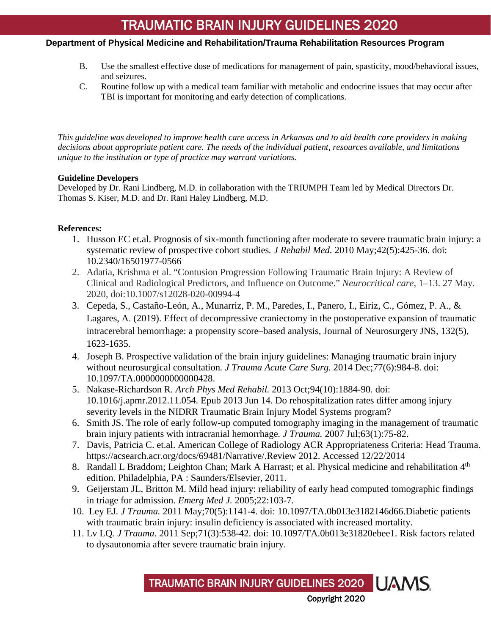## **Department of Physical Medicine and Rehabilitation/Trauma Rehabilitation Resources Program**

- B. Use the smallest effective dose of medications for management of pain, spasticity, mood/behavioral issues, and seizures.
- C. Routine follow up with a medical team familiar with metabolic and endocrine issues that may occur after TBI is important for monitoring and early detection of complications.

*This guideline was developed to improve health care access in Arkansas and to aid health care providers in making decisions about appropriate patient care. The needs of the individual patient, resources available, and limitations unique to the institution or type of practice may warrant variations.*

### **Guideline Developers**

Developed by Dr. Rani Lindberg, M.D. in collaboration with the TRIUMPH Team led by Medical Directors Dr. Thomas S. Kiser, M.D. and Dr. Rani Haley Lindberg, M.D.

### **References:**

- 1. [Husson EC](http://www.ncbi.nlm.nih.gov/pubmed?term=Husson%20EC%5BAuthor%5D&cauthor=true&cauthor_uid=20544152) et.al. Prognosis of six-month functioning after moderate to severe traumatic brain injury: a systematic review of prospective cohort studies*. [J Rehabil Med.](http://www.ncbi.nlm.nih.gov/pubmed/20544152)* 2010 May;42(5):425-36. doi: 10.2340/16501977-0566
- 2. Adatia, Krishma et al. "Contusion Progression Following Traumatic Brain Injury: A Review of Clinical and Radiological Predictors, and Influence on Outcome." *Neurocritical care*, 1–13. 27 May. 2020, doi:10.1007/s12028-020-00994-4
- 3. Cepeda, S., Castaño-León, A., Munarriz, P. M., Paredes, I., Panero, I., Eiriz, C., Gómez, P. A., & Lagares, A. (2019). Effect of decompressive craniectomy in the postoperative expansion of traumatic intracerebral hemorrhage: a propensity score–based analysis, Journal of Neurosurgery JNS, 132(5), 1623-1635.
- 4. [Joseph B.](http://www.ncbi.nlm.nih.gov/pubmed/?term=Joseph%20B%5BAuthor%5D&cauthor=true&cauthor_uid=25423541) Prospective validation of the brain injury guidelines: Managing traumatic brain injury without neurosurgical consultation*. [J Trauma Acute Care Surg.](http://www.ncbi.nlm.nih.gov/pubmed/25423541)* 2014 Dec;77(6):984-8. doi: 10.1097/TA.0000000000000428.
- 5. [Nakase-Richardson R](http://www.ncbi.nlm.nih.gov/pubmed?term=Nakase-Richardson%20R%5BAuthor%5D&cauthor=true&cauthor_uid=23770278)*. [Arch Phys Med Rehabil.](http://www.ncbi.nlm.nih.gov/pubmed/23770278)* 2013 Oct;94(10):1884-90. doi: 10.1016/j.apmr.2012.11.054. Epub 2013 Jun 14. Do rehospitalization rates differ among injury severity levels in the NIDRR Traumatic Brain Injury Model Systems program?
- 6. [Smith JS.](http://www.ncbi.nlm.nih.gov/pubmed/?term=Smith%20JS%5BAuthor%5D&cauthor=true&cauthor_uid=17622872) The role of early follow-up computed tomography imaging in the management of traumatic brain injury patients with intracranial hemorrhage*. [J Trauma.](http://www.ncbi.nlm.nih.gov/pubmed/17622872)* 2007 Jul;63(1):75-82.
- 7. Davis, Patricia C. et.al. American College of Radiology ACR Appropriateness Criteria: Head Trauma. https://acsearch.acr.org/docs/69481/Narrative/.Review 2012. Accessed 12/22/2014
- 8. [Randall L Braddom;](http://www.worldcat.org/search?q=au%3ABraddom%2C+Randall+L.&qt=hot_author) [Leighton Chan;](http://www.worldcat.org/search?q=au%3AChan%2C+Leighton.&qt=hot_author) [Mark A Harrast;](http://www.worldcat.org/search?q=au%3AHarrast%2C+Mark+A.&qt=hot_author) et al. Physical medicine and rehabilitation 4<sup>th</sup> edition. Philadelphia, PA : Saunders/Elsevier, 2011.
- 9. Geijerstam JL, Britton M. Mild head injury: reliability of early head computed tomographic findings in triage for admission. *Emerg Med J.* 2005;22:103-7.
- 10. [Ley EJ](http://www.ncbi.nlm.nih.gov/pubmed?term=Ley%20EJ%5BAuthor%5D&cauthor=true&cauthor_uid=21610428)*. [J Trauma.](http://www.ncbi.nlm.nih.gov/pubmed/21610428)* 2011 May;70(5):1141-4. doi: 10.1097/TA.0b013e3182146d66.Diabetic patients with traumatic brain injury: insulin deficiency is associated with increased mortality.
- 11. Lv LQ*. [J Trauma.](http://www.ncbi.nlm.nih.gov/pubmed/21427610)* 2011 Sep;71(3):538-42. doi: 10.1097/TA.0b013e31820ebee1. Risk factors related to dysautonomia after severe traumatic brain injury[.](http://www.ncbi.nlm.nih.gov/pubmed?term=Lv%20LQ%5BAuthor%5D&cauthor=true&cauthor_uid=21427610)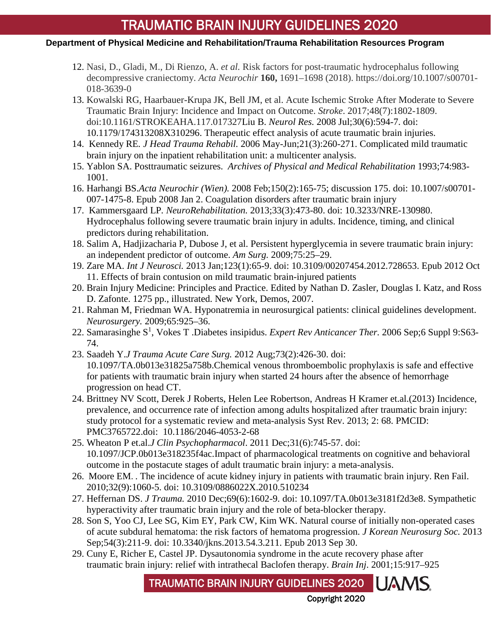## **Department of Physical Medicine and Rehabilitation/Trauma Rehabilitation Resources Program**

- 12. Nasi, D., Gladi, M., Di Rienzo, A. *et al.* Risk factors for post-traumatic hydrocephalus following decompressive craniectomy. *Acta Neurochir* **160,** 1691–1698 (2018). https://doi.org/10.1007/s00701- 018-3639-0
- 13. Kowalski RG, Haarbauer-Krupa JK, Bell JM, et al. Acute Ischemic Stroke After Moderate to Severe Traumatic Brain Injury: Incidence and Impact on Outcome. *Stroke*. 2017;48(7):1802-1809. doi:10.1161/STROKEAHA.117.01732[7Liu B.](http://www.ncbi.nlm.nih.gov/pubmed?term=Liu%20B%5BAuthor%5D&cauthor=true&cauthor_uid=18647499) *[Neurol Res.](http://www.ncbi.nlm.nih.gov/pubmed/18647499)* 2008 Jul;30(6):594-7. doi: 10.1179/174313208X310296. Therapeutic effect analysis of acute traumatic brain injuries.
- 14. [Kennedy RE](http://www.ncbi.nlm.nih.gov/pubmed?term=Kennedy%20RE%5BAuthor%5D&cauthor=true&cauthor_uid=16717503)*. [J Head Trauma Rehabil.](http://www.ncbi.nlm.nih.gov/pubmed/16717503)* 2006 May-Jun;21(3):260-271. Complicated mild traumatic brain injury on the inpatient rehabilitation unit: a multicenter analysis.
- 15. Yablon SA. Posttraumatic seizures. *Archives of Physical and Medical Rehabilitation* 1993;74:983- 1001.
- 16. [Harhangi BS.](http://www.ncbi.nlm.nih.gov/pubmed?term=Harhangi%20BS%5BAuthor%5D&cauthor=true&cauthor_uid=18166989)*[Acta Neurochir \(Wien\).](http://www.ncbi.nlm.nih.gov/pubmed/18166989)* 2008 Feb;150(2):165-75; discussion 175. doi: 10.1007/s00701- 007-1475-8. Epub 2008 Jan 2. Coagulation disorders after traumatic brain injury
- 17. [Kammersgaard LP](http://www.ncbi.nlm.nih.gov/pubmed?term=Kammersgaard%20LP%5BAuthor%5D&cauthor=true&cauthor_uid=23949078)*. [NeuroRehabilitation.](http://www.ncbi.nlm.nih.gov/pubmed/23949078)* 2013;33(3):473-80. doi: 10.3233/NRE-130980. Hydrocephalus following severe traumatic brain injury in adults. Incidence, timing, and clinical predictors during rehabilitation.
- 18. Salim A, Hadjizacharia P, Dubose J, et al. Persistent hyperglycemia in severe traumatic brain injury: an independent predictor of outcome. *Am Surg.* 2009;75:25–29.
- 19. [Zare MA.](http://www.ncbi.nlm.nih.gov/pubmed?term=Zare%20MA%5BAuthor%5D&cauthor=true&cauthor_uid=23005920) *[Int J Neurosci.](http://www.ncbi.nlm.nih.gov/pubmed/23005920)* 2013 Jan;123(1):65-9. doi: 10.3109/00207454.2012.728653. Epub 2012 Oct 11. Effects of brain contusion on mild traumatic brain-injured patients
- 20. Brain Injury Medicine: Principles and Practice. Edited by Nathan D. Zasler, Douglas I. Katz, and Ross D. Zafonte. 1275 pp., illustrated. New York, Demos, 2007.
- 21. Rahman M, Friedman WA. Hyponatremia in neurosurgical patients: clinical guidelines development. *Neurosurgery.* 2009;65:925–36.
- 22. [Samarasinghe S](http://www.ncbi.nlm.nih.gov/pubmed/?term=Samarasinghe%20S%5BAuthor%5D&cauthor=true&cauthor_uid=17004859)<sup>1</sup>, [Vokes T](http://www.ncbi.nlm.nih.gov/pubmed/?term=Vokes%20T%5BAuthor%5D&cauthor=true&cauthor_uid=17004859) .Diabetes insipidus. *Expert Rev Anticancer Ther*. 2006 Sep;6 Suppl 9:S63-74.
- 23. [Saadeh Y.](http://www.ncbi.nlm.nih.gov/pubmed?term=Saadeh%20Y%5BAuthor%5D&cauthor=true&cauthor_uid=22846950)*[J Trauma Acute Care Surg.](http://www.ncbi.nlm.nih.gov/pubmed/22846950)* 2012 Aug;73(2):426-30. doi: 10.1097/TA.0b013e31825a758b.Chemical venous thromboembolic prophylaxis is safe and effective for patients with traumatic brain injury when started 24 hours after the absence of hemorrhage progression on head CT.
- 24. [Brittney NV Scott,](http://www.ncbi.nlm.nih.gov/pubmed/?term=Scott%20BN%5Bauth%5D) [Derek J Roberts,](http://www.ncbi.nlm.nih.gov/pubmed/?term=Roberts%20DJ%5Bauth%5D) [Helen Lee Robertson,](http://www.ncbi.nlm.nih.gov/pubmed/?term=Robertson%20HL%5Bauth%5D) [Andreas H Kramer](http://www.ncbi.nlm.nih.gov/pubmed/?term=Kramer%20AH%5Bauth%5D) et.al.(2013) Incidence, prevalence, and occurrence rate of infection among adults hospitalized after traumatic brain injury: study protocol for a systematic review and meta-analysis Syst Rev. 2013; 2: 68. PMCID: PMC3765722.doi: [10.1186/2046-4053-2-68](http://dx.doi.org/10.1186%2F2046-4053-2-68)
- 25. Wheaton P et.al.*[J Clin Psychopharmacol](http://www.ncbi.nlm.nih.gov/pubmed/22020351)*. 2011 Dec;31(6):745-57. doi: 10.1097/JCP.0b013e318235f4ac.Impact of pharmacological treatments on cognitive and behavioral outcome in the postacute stages of adult traumatic brain injury: a meta-analysis.
- 26. Moore EM. . The incidence of acute kidney injury in patients with traumatic brain injury. [Ren Fail.](http://www.ncbi.nlm.nih.gov/pubmed/20863210) [2010;32\(9\):1060-5. doi: 10.3109/0886022X.2010.510234](http://www.ncbi.nlm.nih.gov/pubmed?term=Moore%20EM%5BAuthor%5D&cauthor=true&cauthor_uid=20863210)
- 27. [Heffernan DS.](http://www.ncbi.nlm.nih.gov/pubmed?term=Heffernan%20DS%5BAuthor%5D&cauthor=true&cauthor_uid=21045744) *[J Trauma.](http://www.ncbi.nlm.nih.gov/pubmed/21045744)* 2010 Dec;69(6):1602-9. doi: 10.1097/TA.0b013e3181f2d3e8. Sympathetic hyperactivity after traumatic brain injury and the role of beta-blocker therapy.
- 28. [Son S,](http://www.ncbi.nlm.nih.gov.libproxy.uams.edu/pubmed/?term=Son%20S%5BAuthor%5D&cauthor=true&cauthor_uid=24278650) [Yoo CJ,](http://www.ncbi.nlm.nih.gov.libproxy.uams.edu/pubmed/?term=Yoo%20CJ%5BAuthor%5D&cauthor=true&cauthor_uid=24278650) [Lee SG,](http://www.ncbi.nlm.nih.gov.libproxy.uams.edu/pubmed/?term=Lee%20SG%5BAuthor%5D&cauthor=true&cauthor_uid=24278650) [Kim EY,](http://www.ncbi.nlm.nih.gov.libproxy.uams.edu/pubmed/?term=Kim%20EY%5BAuthor%5D&cauthor=true&cauthor_uid=24278650) [Park CW,](http://www.ncbi.nlm.nih.gov.libproxy.uams.edu/pubmed/?term=Park%20CW%5BAuthor%5D&cauthor=true&cauthor_uid=24278650) [Kim WK.](http://www.ncbi.nlm.nih.gov.libproxy.uams.edu/pubmed/?term=Kim%20WK%5BAuthor%5D&cauthor=true&cauthor_uid=24278650) Natural course of initially non-operated cases of acute subdural hematoma: the risk factors of hematoma progression. *[J Korean Neurosurg Soc.](http://www.ncbi.nlm.nih.gov.libproxy.uams.edu/pubmed/24278650)* 2013 Sep;54(3):211-9. doi: 10.3340/jkns.2013.54.3.211. Epub 2013 Sep 30.
- 29. Cuny E, Richer E, Castel JP. Dysautonomia syndrome in the acute recovery phase after traumatic brain injury: relief with intrathecal Baclofen therapy. *Brain Inj*. 2001;15:917–925

TRAUMATIC BRAIN INJURY GUIDELINES 2020

Copyright 2020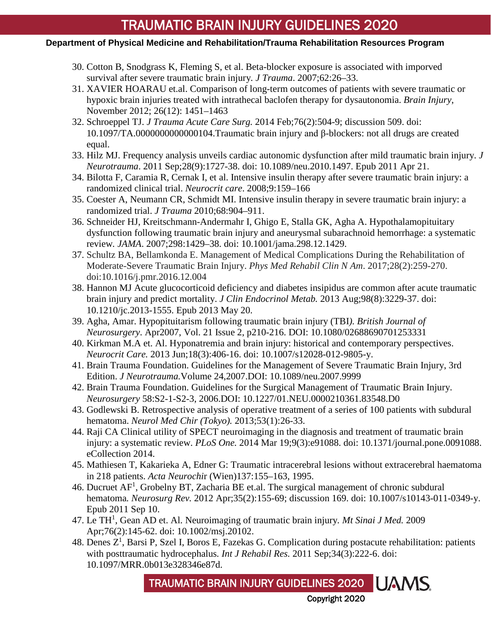## **Department of Physical Medicine and Rehabilitation/Trauma Rehabilitation Resources Program**

- 30. Cotton B, Snodgrass K, Fleming S, et al. Beta-blocker exposure is associated with imporved survival after severe traumatic brain injury*. J Trauma*. 2007;62:26–33.
- 31. XAVIER HOARAU et.al. Comparison of long-term outcomes of patients with severe traumatic or hypoxic brain injuries treated with intrathecal baclofen therapy for dysautonomia. *Brain Injury*, November 2012; 26(12): 1451–1463
- 32. [Schroeppel TJ.](http://www.ncbi.nlm.nih.gov/pubmed/?term=Schroeppel%20TJ%5BAuthor%5D&cauthor=true&cauthor_uid=24458058) *[J Trauma Acute Care Surg.](http://www.ncbi.nlm.nih.gov/pubmed/24458058)* 2014 Feb;76(2):504-9; discussion 509. doi: 10.1097/TA.0000000000000104.Traumatic brain injury and β-blockers: not all drugs are created equal.
- 33. Hilz MJ. [Frequency analysis unveils cardiac autonomic](http://www.ncbi.nlm.nih.gov/pubmed/21355816) dysfunction after mild traumatic brain injury. *J Neurotrauma*. 2011 Sep;28(9):1727-38. doi: 10.1089/neu.2010.1497. Epub 2011 Apr 21.
- 34. Bilotta F, Caramia R, Cernak I, et al. Intensive insulin therapy after severe traumatic brain injury: a randomized clinical trial. *Neurocrit care*. 2008;9:159–166
- 35. Coester A, Neumann CR, Schmidt MI. Intensive insulin therapy in severe traumatic brain injury: a randomized trial. *J Trauma* 2010;68:904–911.
- 36. Schneider HJ, Kreitschmann-Andermahr I, Ghigo E, Stalla GK, Agha A. Hypothalamopituitary dysfunction following traumatic brain injury and aneurysmal subarachnoid hemorrhage: a systematic review*. JAMA*. 2007;298:1429–38. doi: 10.1001/jama.298.12.1429.
- 37. Schultz BA, Bellamkonda E. Management of Medical Complications During the Rehabilitation of Moderate-Severe Traumatic Brain Injury. *Phys Med Rehabil Clin N Am*. 2017;28(2):259-270. doi:10.1016/j.pmr.2016.12.004
- 38. [Hannon MJ](http://www.ncbi.nlm.nih.gov/pubmed/?term=Hannon%20MJ%5BAuthor%5D&cauthor=true&cauthor_uid=23690314) Acute glucocorticoid deficiency and diabetes insipidus are common after acute traumatic brain injury and predict mortality. *[J Clin Endocrinol Metab.](http://www.ncbi.nlm.nih.gov/pubmed/23690314)* 2013 Aug;98(8):3229-37. doi: 10.1210/jc.2013-1555. Epub 2013 May 20.
- 39. [Agha, Amar.](javascript:__doLinkPostBack() Hypopituitarism following traumatic brain injury (TBI*). [British Journal of](javascript:__doLinkPostBack()  [Neurosurgery](javascript:__doLinkPostBack()*. Apr2007, Vol. 21 Issue 2, p210-216. DOI: 10.1080/02688690701253331
- 40. Kirkman M.A et. Al. [Hyponatremia and brain injury: historical and contemporary perspectives.](http://www.ncbi.nlm.nih.gov/pubmed/23212244) *Neurocrit Care.* 2013 Jun;18(3):406-16. doi: 10.1007/s12028-012-9805-y.
- 41. Brain Trauma Foundation. Guidelines for the Management of Severe Traumatic Brain Injury, 3rd Edition. *J Neurotrauma.*Volume 24,2007.DOI: 10.1089/neu.2007.9999
- 42. Brain Trauma Foundation. Guidelines for the Surgical Management of Traumatic Brain Injury. *Neurosurgery* 58:S2-1-S2-3, 2006.DOI: 10.1227/01.NEU.0000210361.83548.D0
- 43. [Godlewski B.](http://www.ncbi.nlm.nih.gov/pubmed/?term=Godlewski%20B%5BAuthor%5D&cauthor=true&cauthor_uid=23358166) Retrospective analysis of operative treatment of a series of 100 patients with subdural hematoma. *[Neurol Med Chir \(Tokyo\).](http://www.ncbi.nlm.nih.gov/pubmed/23358166)* 2013;53(1):26-33.
- 44. [Raji CA](http://www.ncbi.nlm.nih.gov/pubmed/?term=Raji%20CA%5BAuthor%5D&cauthor=true&cauthor_uid=24646878) Clinical utility of SPECT neuroimaging in the diagnosis and treatment of traumatic brain injury: a systematic review. *[PLoS One.](http://www.ncbi.nlm.nih.gov/pubmed/24646878)* 2014 Mar 19;9(3):e91088. doi: 10.1371/journal.pone.0091088. eCollection 2014.
- 45. Mathiesen T, Kakarieka A, Edner G: Traumatic intracerebral lesions without extracerebral haematoma in 218 patients. *Acta Neurochi*r (Wien)137:155–163, 1995.
- 46. Ducruet AF<sup>1</sup>, [Grobelny BT,](http://www.ncbi.nlm.nih.gov/pubmed/?term=Grobelny%20BT%5BAuthor%5D&cauthor=true&cauthor_uid=21909694) [Zacharia BE](http://www.ncbi.nlm.nih.gov/pubmed/?term=Zacharia%20BE%5BAuthor%5D&cauthor=true&cauthor_uid=21909694) et.al. The surgical management of chronic subdural hematoma*. [Neurosurg Rev.](http://www.ncbi.nlm.nih.gov/pubmed/21909694)* 2012 Apr;35(2):155-69; discussion 169. doi: 10.1007/s10143-011-0349-y. Epub 2011 Sep 10.
- 47. [Le TH1](http://www.ncbi.nlm.nih.gov.libproxy.uams.edu/pubmed/?term=Le%20TH%5BAuthor%5D&cauthor=true&cauthor_uid=19306377) , [Gean AD](http://www.ncbi.nlm.nih.gov.libproxy.uams.edu/pubmed/?term=Gean%20AD%5BAuthor%5D&cauthor=true&cauthor_uid=19306377) et. Al. Neuroimaging of traumatic brain injury*. [Mt Sinai J Med.](http://www.ncbi.nlm.nih.gov.libproxy.uams.edu/pubmed/19306377)* 2009 Apr;76(2):145-62. doi: 10.1002/msj.20102.
- 48. Denes  $Z^1$ , [Barsi P,](http://www.ncbi.nlm.nih.gov/pubmed/?term=Barsi%20P%5BAuthor%5D&cauthor=true&cauthor_uid=21555949) [Szel I,](http://www.ncbi.nlm.nih.gov/pubmed/?term=Szel%20I%5BAuthor%5D&cauthor=true&cauthor_uid=21555949) [Boros E,](http://www.ncbi.nlm.nih.gov/pubmed/?term=Boros%20E%5BAuthor%5D&cauthor=true&cauthor_uid=21555949) [Fazekas G.](http://www.ncbi.nlm.nih.gov/pubmed/?term=Fazekas%20G%5BAuthor%5D&cauthor=true&cauthor_uid=21555949) Complication during postacute rehabilitation: patients with posttraumatic hydrocephalus*. [Int J Rehabil Res.](http://www.ncbi.nlm.nih.gov/pubmed/21555949)* 2011 Sep;34(3):222-6. doi: 10.1097/MRR.0b013e328346e87d.